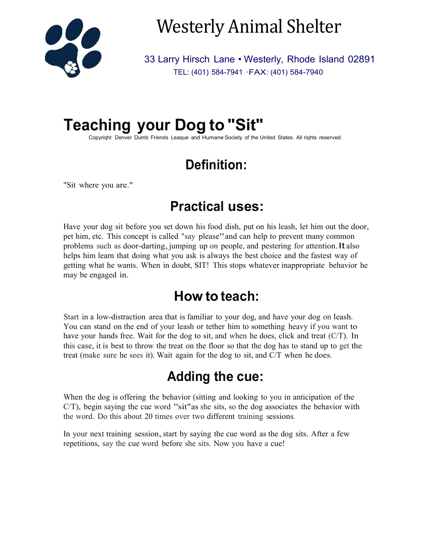

# Westerly Animal Shelter

33 Larry Hirsch Lane • Westerly, Rhode Island 02891 TEL: (401) 584-7941 ·FAX: (401) 584-7940

## **Teaching your Dog to "Sit"**

Copyriqht Denver Dumb Friends Leaque and Humane Society of the United States. All riqhts reserved.

## **Definition:**

"Sit where you are."

#### **Practical uses:**

Have your dog sit before you set down his food dish, put on his leash, let him out the door, pet him, etc. This concept is called "say please"and can help to prevent many common problems such as door-darting, jumping up on people, and pestering for attention. It also helps him learn that doing what you ask is always the best choice and the fastest way of getting what he wants. When in doubt, SIT! This stops whatever inappropriate behavior he may be engaged in.

#### **How to teach:**

Start in a low-distraction area that is familiar to your dog, and have your dog on leash. You can stand on the end of your leash or tether him to something heavy if you want to have your hands free. Wait for the dog to sit, and when he does, click and treat (C/T). In this case, it is best to throw the treat on the floor so that the dog has to stand up to get the treat (make sure he sees it). Wait again for the dog to sit, and C/T when he does.

## **Adding the cue:**

When the dog is offering the behavior (sitting and looking to you in anticipation of the  $C/T$ ), begin saying the cue word "sit" as she sits, so the dog associates the behavior with the word. Do this about 20 times over two different training sessions.

In your next training session, start by saying the cue word as the dog sits. After a few repetitions, say the cue word before she sits. Now you have a cue!